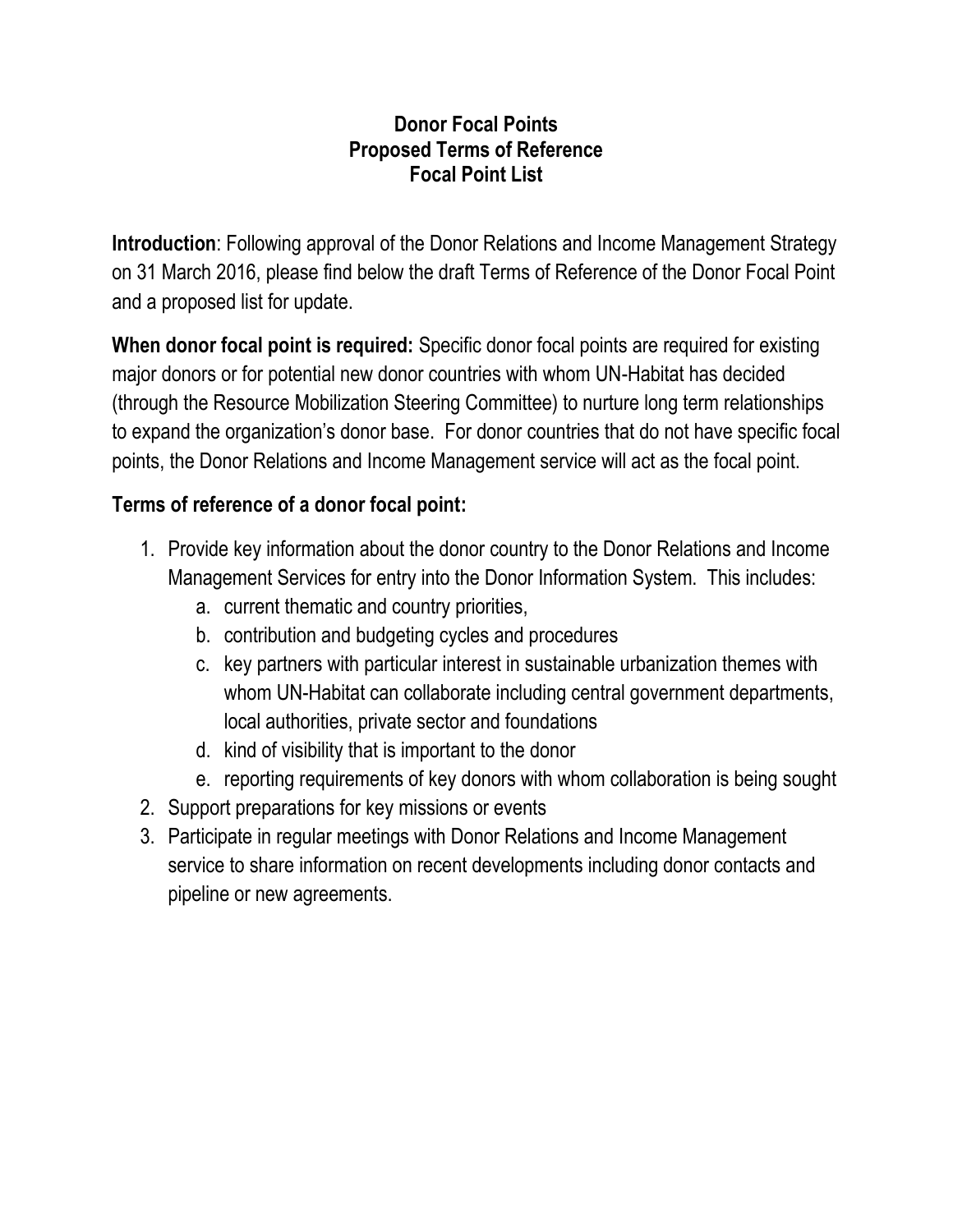## **Donor Focal Points Proposed Terms of Reference Focal Point List**

**Introduction**: Following approval of the Donor Relations and Income Management Strategy on 31 March 2016, please find below the draft Terms of Reference of the Donor Focal Point and a proposed list for update.

**When donor focal point is required:** Specific donor focal points are required for existing major donors or for potential new donor countries with whom UN-Habitat has decided (through the Resource Mobilization Steering Committee) to nurture long term relationships to expand the organization's donor base. For donor countries that do not have specific focal points, the Donor Relations and Income Management service will act as the focal point.

## **Terms of reference of a donor focal point:**

- 1. Provide key information about the donor country to the Donor Relations and Income Management Services for entry into the Donor Information System. This includes:
	- a. current thematic and country priorities,
	- b. contribution and budgeting cycles and procedures
	- c. key partners with particular interest in sustainable urbanization themes with whom UN-Habitat can collaborate including central government departments, local authorities, private sector and foundations
	- d. kind of visibility that is important to the donor
	- e. reporting requirements of key donors with whom collaboration is being sought
- 2. Support preparations for key missions or events
- 3. Participate in regular meetings with Donor Relations and Income Management service to share information on recent developments including donor contacts and pipeline or new agreements.